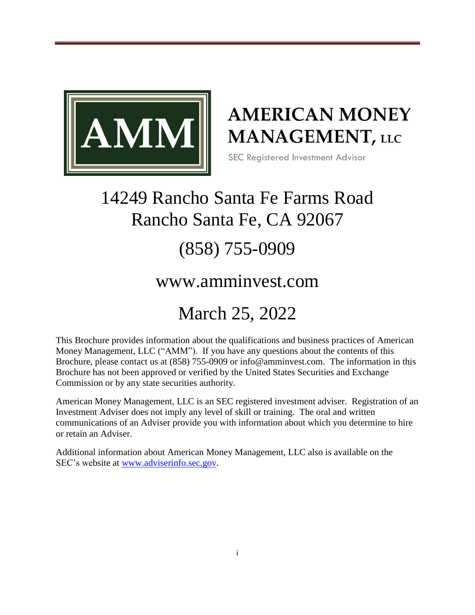

# **AMERICAN MONEY MANAGEMENT**, LLC

SEC Registered Investment Advisor

# 14249 Rancho Santa Fe Farms Road Rancho Santa Fe, CA 92067

# (858) 755-0909

# www.amminvest.com

# March 25, 2022

This Brochure provides information about the qualifications and business practices of American Money Management, LLC ("AMM"). If you have any questions about the contents of this Brochure, please contact us at (858) 755-0909 or info@amminvest.com. The information in this Brochure has not been approved or verified by the United States Securities and Exchange Commission or by any state securities authority.

American Money Management, LLC is an SEC registered investment adviser. Registration of an Investment Adviser does not imply any level of skill or training. The oral and written communications of an Adviser provide you with information about which you determine to hire or retain an Adviser.

Additional information about American Money Management, LLC also is available on the SEC's website at [www.adviserinfo.sec.gov.](http://www.adviserinfo.sec.gov/)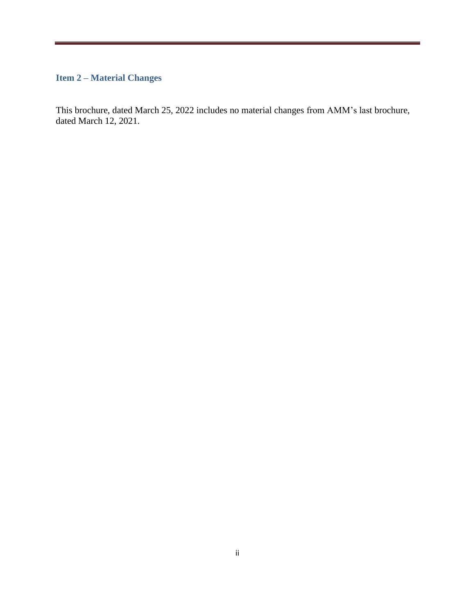### <span id="page-1-0"></span>**Item 2 – Material Changes**

This brochure, dated March 25, 2022 includes no material changes from AMM's last brochure, dated March 12, 2021.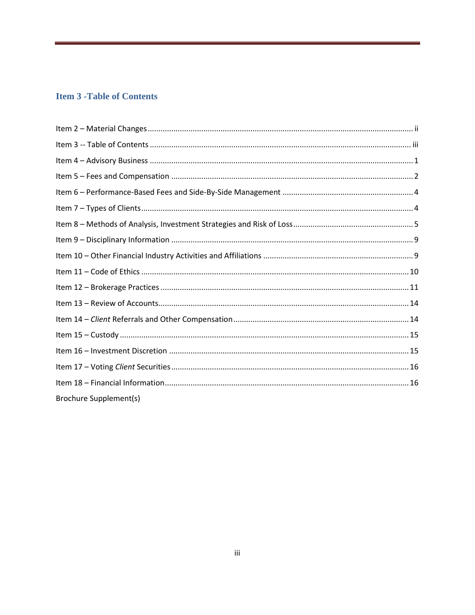### <span id="page-2-0"></span>**Item 3 - Table of Contents**

| Brochure Supplement(s) |
|------------------------|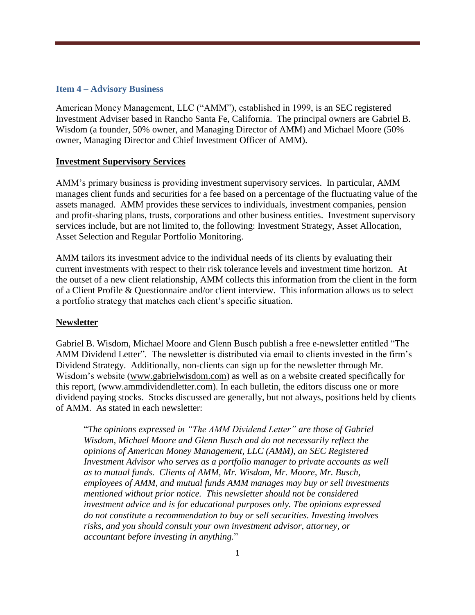### <span id="page-3-0"></span>**Item 4 – Advisory Business**

American Money Management, LLC ("AMM"), established in 1999, is an SEC registered Investment Adviser based in Rancho Santa Fe, California. The principal owners are Gabriel B. Wisdom (a founder, 50% owner, and Managing Director of AMM) and Michael Moore (50% owner, Managing Director and Chief Investment Officer of AMM).

### **Investment Supervisory Services**

AMM's primary business is providing investment supervisory services. In particular, AMM manages client funds and securities for a fee based on a percentage of the fluctuating value of the assets managed. AMM provides these services to individuals, investment companies, pension and profit-sharing plans, trusts, corporations and other business entities. Investment supervisory services include, but are not limited to, the following: Investment Strategy, Asset Allocation, Asset Selection and Regular Portfolio Monitoring.

AMM tailors its investment advice to the individual needs of its clients by evaluating their current investments with respect to their risk tolerance levels and investment time horizon. At the outset of a new client relationship, AMM collects this information from the client in the form of a Client Profile & Questionnaire and/or client interview. This information allows us to select a portfolio strategy that matches each client's specific situation.

### **Newsletter**

Gabriel B. Wisdom, Michael Moore and Glenn Busch publish a free e-newsletter entitled "The AMM Dividend Letter". The newsletter is distributed via email to clients invested in the firm's Dividend Strategy. Additionally, non-clients can sign up for the newsletter through Mr. Wisdom's website (www.gabrielwisdom.com) as well as on a website created specifically for this report, (www.ammdividendletter.com). In each bulletin, the editors discuss one or more dividend paying stocks. Stocks discussed are generally, but not always, positions held by clients of AMM. As stated in each newsletter:

"*The opinions expressed in "The AMM Dividend Letter" are those of Gabriel Wisdom, Michael Moore and Glenn Busch and do not necessarily reflect the opinions of American Money Management, LLC (AMM), an SEC Registered Investment Advisor who serves as a portfolio manager to private accounts as well as to mutual funds. Clients of AMM, Mr. Wisdom, Mr. Moore, Mr. Busch, employees of AMM, and mutual funds AMM manages may buy or sell investments mentioned without prior notice. This newsletter should not be considered investment advice and is for educational purposes only. The opinions expressed do not constitute a recommendation to buy or sell securities. Investing involves risks, and you should consult your own investment advisor, attorney, or accountant before investing in anything.*"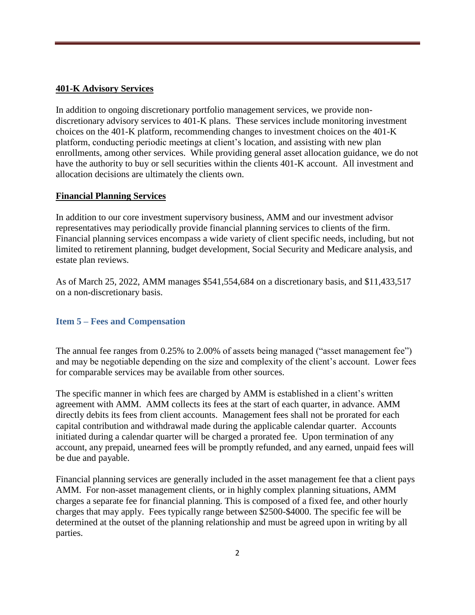### **401-K Advisory Services**

In addition to ongoing discretionary portfolio management services, we provide nondiscretionary advisory services to 401-K plans. These services include monitoring investment choices on the 401-K platform, recommending changes to investment choices on the 401-K platform, conducting periodic meetings at client's location, and assisting with new plan enrollments, among other services. While providing general asset allocation guidance, we do not have the authority to buy or sell securities within the clients 401-K account. All investment and allocation decisions are ultimately the clients own.

### **Financial Planning Services**

In addition to our core investment supervisory business, AMM and our investment advisor representatives may periodically provide financial planning services to clients of the firm. Financial planning services encompass a wide variety of client specific needs, including, but not limited to retirement planning, budget development, Social Security and Medicare analysis, and estate plan reviews.

<span id="page-4-0"></span>As of March 25, 2022, AMM manages \$541,554,684 on a discretionary basis, and \$11,433,517 on a non-discretionary basis.

### **Item 5 – Fees and Compensation**

The annual fee ranges from 0.25% to 2.00% of assets being managed ("asset management fee") and may be negotiable depending on the size and complexity of the client's account. Lower fees for comparable services may be available from other sources.

The specific manner in which fees are charged by AMM is established in a client's written agreement with AMM. AMM collects its fees at the start of each quarter, in advance. AMM directly debits its fees from client accounts. Management fees shall not be prorated for each capital contribution and withdrawal made during the applicable calendar quarter. Accounts initiated during a calendar quarter will be charged a prorated fee. Upon termination of any account, any prepaid, unearned fees will be promptly refunded, and any earned, unpaid fees will be due and payable.

Financial planning services are generally included in the asset management fee that a client pays AMM. For non-asset management clients, or in highly complex planning situations, AMM charges a separate fee for financial planning. This is composed of a fixed fee, and other hourly charges that may apply. Fees typically range between \$2500-\$4000. The specific fee will be determined at the outset of the planning relationship and must be agreed upon in writing by all parties.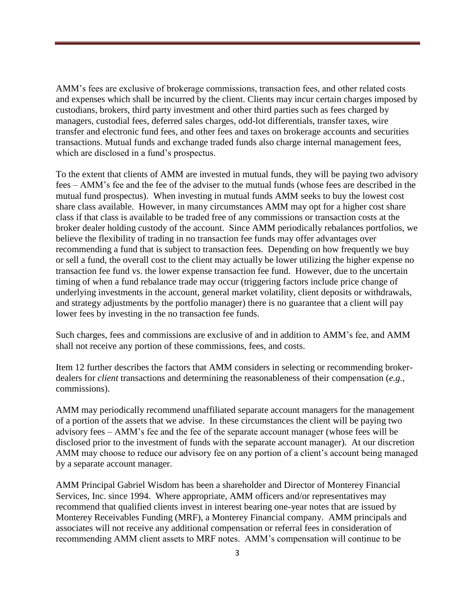AMM's fees are exclusive of brokerage commissions, transaction fees, and other related costs and expenses which shall be incurred by the client. Clients may incur certain charges imposed by custodians, brokers, third party investment and other third parties such as fees charged by managers, custodial fees, deferred sales charges, odd-lot differentials, transfer taxes, wire transfer and electronic fund fees, and other fees and taxes on brokerage accounts and securities transactions. Mutual funds and exchange traded funds also charge internal management fees, which are disclosed in a fund's prospectus.

To the extent that clients of AMM are invested in mutual funds, they will be paying two advisory fees – AMM's fee and the fee of the adviser to the mutual funds (whose fees are described in the mutual fund prospectus). When investing in mutual funds AMM seeks to buy the lowest cost share class available. However, in many circumstances AMM may opt for a higher cost share class if that class is available to be traded free of any commissions or transaction costs at the broker dealer holding custody of the account. Since AMM periodically rebalances portfolios, we believe the flexibility of trading in no transaction fee funds may offer advantages over recommending a fund that is subject to transaction fees. Depending on how frequently we buy or sell a fund, the overall cost to the client may actually be lower utilizing the higher expense no transaction fee fund vs. the lower expense transaction fee fund. However, due to the uncertain timing of when a fund rebalance trade may occur (triggering factors include price change of underlying investments in the account, general market volatility, client deposits or withdrawals, and strategy adjustments by the portfolio manager) there is no guarantee that a client will pay lower fees by investing in the no transaction fee funds.

Such charges, fees and commissions are exclusive of and in addition to AMM's fee, and AMM shall not receive any portion of these commissions, fees, and costs.

Item 12 further describes the factors that AMM considers in selecting or recommending brokerdealers for *client* transactions and determining the reasonableness of their compensation (*e.g.*, commissions).

AMM may periodically recommend unaffiliated separate account managers for the management of a portion of the assets that we advise. In these circumstances the client will be paying two advisory fees – AMM's fee and the fee of the separate account manager (whose fees will be disclosed prior to the investment of funds with the separate account manager). At our discretion AMM may choose to reduce our advisory fee on any portion of a client's account being managed by a separate account manager.

AMM Principal Gabriel Wisdom has been a shareholder and Director of Monterey Financial Services, Inc. since 1994. Where appropriate, AMM officers and/or representatives may recommend that qualified clients invest in interest bearing one-year notes that are issued by Monterey Receivables Funding (MRF), a Monterey Financial company. AMM principals and associates will not receive any additional compensation or referral fees in consideration of recommending AMM client assets to MRF notes. AMM's compensation will continue to be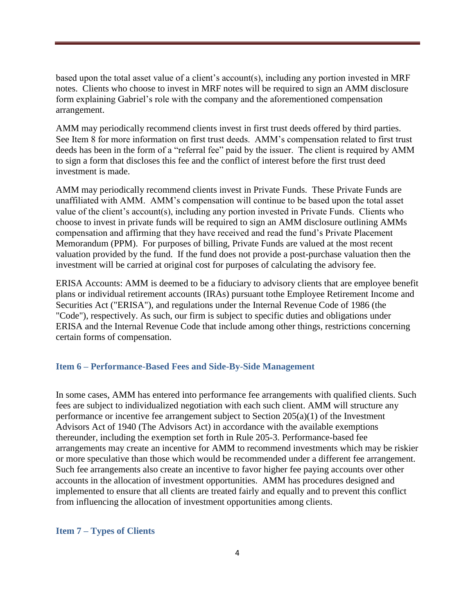based upon the total asset value of a client's account(s), including any portion invested in MRF notes. Clients who choose to invest in MRF notes will be required to sign an AMM disclosure form explaining Gabriel's role with the company and the aforementioned compensation arrangement.

AMM may periodically recommend clients invest in first trust deeds offered by third parties. See Item 8 for more information on first trust deeds. AMM's compensation related to first trust deeds has been in the form of a "referral fee" paid by the issuer. The client is required by AMM to sign a form that discloses this fee and the conflict of interest before the first trust deed investment is made.

AMM may periodically recommend clients invest in Private Funds. These Private Funds are unaffiliated with AMM. AMM's compensation will continue to be based upon the total asset value of the client's account(s), including any portion invested in Private Funds. Clients who choose to invest in private funds will be required to sign an AMM disclosure outlining AMMs compensation and affirming that they have received and read the fund's Private Placement Memorandum (PPM). For purposes of billing, Private Funds are valued at the most recent valuation provided by the fund. If the fund does not provide a post-purchase valuation then the investment will be carried at original cost for purposes of calculating the advisory fee.

ERISA Accounts: AMM is deemed to be a fiduciary to advisory clients that are employee benefit plans or individual retirement accounts (IRAs) pursuant tothe Employee Retirement Income and Securities Act ("ERISA"), and regulations under the Internal Revenue Code of 1986 (the "Code"), respectively. As such, our firm is subject to specific duties and obligations under ERISA and the Internal Revenue Code that include among other things, restrictions concerning certain forms of compensation.

### <span id="page-6-0"></span>**Item 6 – Performance-Based Fees and Side-By-Side Management**

In some cases, AMM has entered into performance fee arrangements with qualified clients. Such fees are subject to individualized negotiation with each such client. AMM will structure any performance or incentive fee arrangement subject to Section  $205(a)(1)$  of the Investment Advisors Act of 1940 (The Advisors Act) in accordance with the available exemptions thereunder, including the exemption set forth in Rule 205-3. Performance-based fee arrangements may create an incentive for AMM to recommend investments which may be riskier or more speculative than those which would be recommended under a different fee arrangement. Such fee arrangements also create an incentive to favor higher fee paying accounts over other accounts in the allocation of investment opportunities. AMM has procedures designed and implemented to ensure that all clients are treated fairly and equally and to prevent this conflict from influencing the allocation of investment opportunities among clients.

### <span id="page-6-1"></span>**Item 7 – Types of Clients**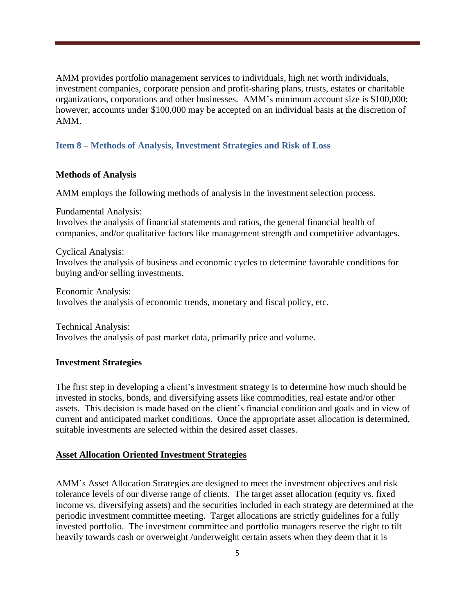AMM provides portfolio management services to individuals, high net worth individuals, investment companies, corporate pension and profit-sharing plans, trusts, estates or charitable organizations, corporations and other businesses. AMM's minimum account size is \$100,000; however, accounts under \$100,000 may be accepted on an individual basis at the discretion of AMM.

### <span id="page-7-0"></span>**Item 8 – Methods of Analysis, Investment Strategies and Risk of Loss**

### **Methods of Analysis**

AMM employs the following methods of analysis in the investment selection process.

Fundamental Analysis:

Involves the analysis of financial statements and ratios, the general financial health of companies, and/or qualitative factors like management strength and competitive advantages.

Cyclical Analysis: Involves the analysis of business and economic cycles to determine favorable conditions for buying and/or selling investments.

Economic Analysis: Involves the analysis of economic trends, monetary and fiscal policy, etc.

Technical Analysis: Involves the analysis of past market data, primarily price and volume.

### **Investment Strategies**

The first step in developing a client's investment strategy is to determine how much should be invested in stocks, bonds, and diversifying assets like commodities, real estate and/or other assets. This decision is made based on the client's financial condition and goals and in view of current and anticipated market conditions. Once the appropriate asset allocation is determined, suitable investments are selected within the desired asset classes.

### **Asset Allocation Oriented Investment Strategies**

AMM's Asset Allocation Strategies are designed to meet the investment objectives and risk tolerance levels of our diverse range of clients. The target asset allocation (equity vs. fixed income vs. diversifying assets) and the securities included in each strategy are determined at the periodic investment committee meeting. Target allocations are strictly guidelines for a fully invested portfolio. The investment committee and portfolio managers reserve the right to tilt heavily towards cash or overweight /underweight certain assets when they deem that it is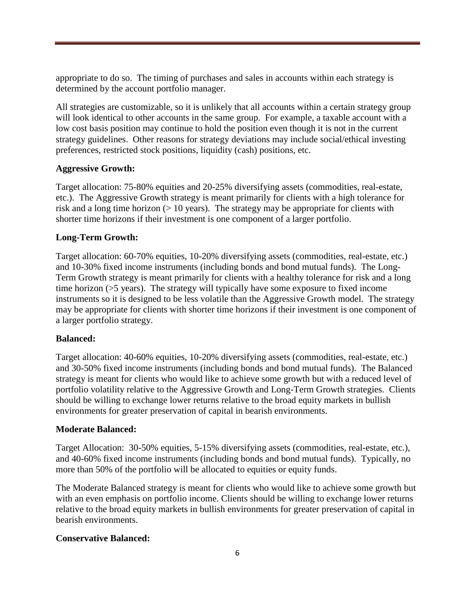appropriate to do so. The timing of purchases and sales in accounts within each strategy is determined by the account portfolio manager.

All strategies are customizable, so it is unlikely that all accounts within a certain strategy group will look identical to other accounts in the same group. For example, a taxable account with a low cost basis position may continue to hold the position even though it is not in the current strategy guidelines. Other reasons for strategy deviations may include social/ethical investing preferences, restricted stock positions, liquidity (cash) positions, etc.

### **Aggressive Growth:**

Target allocation: 75-80% equities and 20-25% diversifying assets (commodities, real-estate, etc.). The Aggressive Growth strategy is meant primarily for clients with a high tolerance for risk and a long time horizon  $(>10 \text{ years})$ . The strategy may be appropriate for clients with shorter time horizons if their investment is one component of a larger portfolio.

### **Long-Term Growth:**

Target allocation: 60-70% equities, 10-20% diversifying assets (commodities, real-estate, etc.) and 10-30% fixed income instruments (including bonds and bond mutual funds). The Long-Term Growth strategy is meant primarily for clients with a healthy tolerance for risk and a long time horizon (>5 years). The strategy will typically have some exposure to fixed income instruments so it is designed to be less volatile than the Aggressive Growth model. The strategy may be appropriate for clients with shorter time horizons if their investment is one component of a larger portfolio strategy.

### **Balanced:**

Target allocation: 40-60% equities, 10-20% diversifying assets (commodities, real-estate, etc.) and 30-50% fixed income instruments (including bonds and bond mutual funds). The Balanced strategy is meant for clients who would like to achieve some growth but with a reduced level of portfolio volatility relative to the Aggressive Growth and Long-Term Growth strategies. Clients should be willing to exchange lower returns relative to the broad equity markets in bullish environments for greater preservation of capital in bearish environments.

### **Moderate Balanced:**

Target Allocation: 30-50% equities, 5-15% diversifying assets (commodities, real-estate, etc.), and 40-60% fixed income instruments (including bonds and bond mutual funds). Typically, no more than 50% of the portfolio will be allocated to equities or equity funds.

The Moderate Balanced strategy is meant for clients who would like to achieve some growth but with an even emphasis on portfolio income. Clients should be willing to exchange lower returns relative to the broad equity markets in bullish environments for greater preservation of capital in bearish environments.

### **Conservative Balanced:**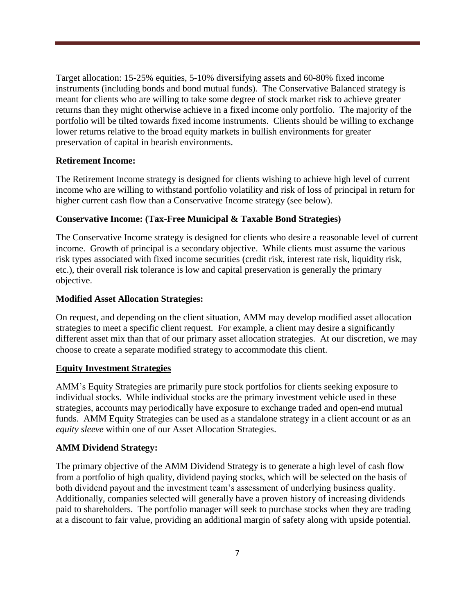Target allocation: 15-25% equities, 5-10% diversifying assets and 60-80% fixed income instruments (including bonds and bond mutual funds). The Conservative Balanced strategy is meant for clients who are willing to take some degree of stock market risk to achieve greater returns than they might otherwise achieve in a fixed income only portfolio. The majority of the portfolio will be tilted towards fixed income instruments. Clients should be willing to exchange lower returns relative to the broad equity markets in bullish environments for greater preservation of capital in bearish environments.

### **Retirement Income:**

The Retirement Income strategy is designed for clients wishing to achieve high level of current income who are willing to withstand portfolio volatility and risk of loss of principal in return for higher current cash flow than a Conservative Income strategy (see below).

### **Conservative Income: (Tax-Free Municipal & Taxable Bond Strategies)**

The Conservative Income strategy is designed for clients who desire a reasonable level of current income. Growth of principal is a secondary objective. While clients must assume the various risk types associated with fixed income securities (credit risk, interest rate risk, liquidity risk, etc.), their overall risk tolerance is low and capital preservation is generally the primary objective.

### **Modified Asset Allocation Strategies:**

On request, and depending on the client situation, AMM may develop modified asset allocation strategies to meet a specific client request. For example, a client may desire a significantly different asset mix than that of our primary asset allocation strategies. At our discretion, we may choose to create a separate modified strategy to accommodate this client.

### **Equity Investment Strategies**

AMM's Equity Strategies are primarily pure stock portfolios for clients seeking exposure to individual stocks. While individual stocks are the primary investment vehicle used in these strategies, accounts may periodically have exposure to exchange traded and open-end mutual funds. AMM Equity Strategies can be used as a standalone strategy in a client account or as an *equity sleeve* within one of our Asset Allocation Strategies.

### **AMM Dividend Strategy:**

The primary objective of the AMM Dividend Strategy is to generate a high level of cash flow from a portfolio of high quality, dividend paying stocks, which will be selected on the basis of both dividend payout and the investment team's assessment of underlying business quality. Additionally, companies selected will generally have a proven history of increasing dividends paid to shareholders. The portfolio manager will seek to purchase stocks when they are trading at a discount to fair value, providing an additional margin of safety along with upside potential.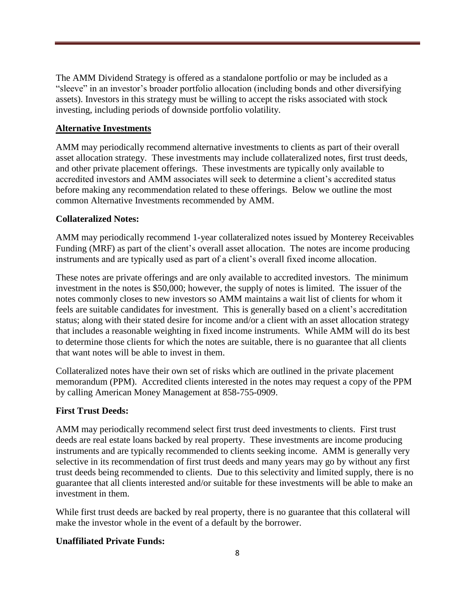The AMM Dividend Strategy is offered as a standalone portfolio or may be included as a "sleeve" in an investor's broader portfolio allocation (including bonds and other diversifying assets). Investors in this strategy must be willing to accept the risks associated with stock investing, including periods of downside portfolio volatility.

### **Alternative Investments**

AMM may periodically recommend alternative investments to clients as part of their overall asset allocation strategy. These investments may include collateralized notes, first trust deeds, and other private placement offerings. These investments are typically only available to accredited investors and AMM associates will seek to determine a client's accredited status before making any recommendation related to these offerings. Below we outline the most common Alternative Investments recommended by AMM.

### **Collateralized Notes:**

AMM may periodically recommend 1-year collateralized notes issued by Monterey Receivables Funding (MRF) as part of the client's overall asset allocation. The notes are income producing instruments and are typically used as part of a client's overall fixed income allocation.

These notes are private offerings and are only available to accredited investors. The minimum investment in the notes is \$50,000; however, the supply of notes is limited. The issuer of the notes commonly closes to new investors so AMM maintains a wait list of clients for whom it feels are suitable candidates for investment. This is generally based on a client's accreditation status; along with their stated desire for income and/or a client with an asset allocation strategy that includes a reasonable weighting in fixed income instruments. While AMM will do its best to determine those clients for which the notes are suitable, there is no guarantee that all clients that want notes will be able to invest in them.

Collateralized notes have their own set of risks which are outlined in the private placement memorandum (PPM). Accredited clients interested in the notes may request a copy of the PPM by calling American Money Management at 858-755-0909.

### **First Trust Deeds:**

AMM may periodically recommend select first trust deed investments to clients. First trust deeds are real estate loans backed by real property. These investments are income producing instruments and are typically recommended to clients seeking income. AMM is generally very selective in its recommendation of first trust deeds and many years may go by without any first trust deeds being recommended to clients. Due to this selectivity and limited supply, there is no guarantee that all clients interested and/or suitable for these investments will be able to make an investment in them.

While first trust deeds are backed by real property, there is no guarantee that this collateral will make the investor whole in the event of a default by the borrower.

### **Unaffiliated Private Funds:**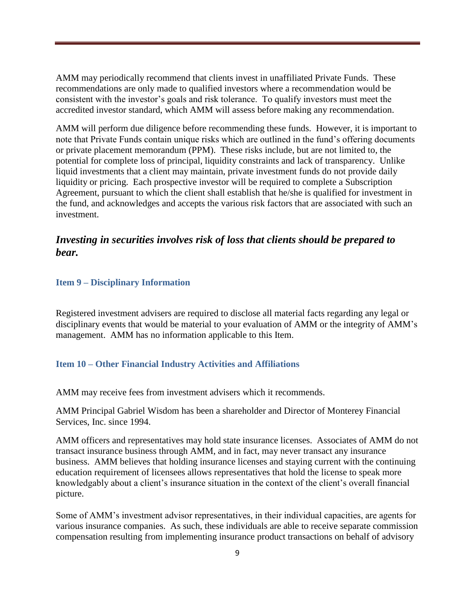AMM may periodically recommend that clients invest in unaffiliated Private Funds. These recommendations are only made to qualified investors where a recommendation would be consistent with the investor's goals and risk tolerance. To qualify investors must meet the accredited investor standard, which AMM will assess before making any recommendation.

AMM will perform due diligence before recommending these funds. However, it is important to note that Private Funds contain unique risks which are outlined in the fund's offering documents or private placement memorandum (PPM). These risks include, but are not limited to, the potential for complete loss of principal, liquidity constraints and lack of transparency. Unlike liquid investments that a client may maintain, private investment funds do not provide daily liquidity or pricing. Each prospective investor will be required to complete a Subscription Agreement, pursuant to which the client shall establish that he/she is qualified for investment in the fund, and acknowledges and accepts the various risk factors that are associated with such an investment.

### *Investing in securities involves risk of loss that clients should be prepared to bear.*

### <span id="page-11-0"></span>**Item 9 – Disciplinary Information**

Registered investment advisers are required to disclose all material facts regarding any legal or disciplinary events that would be material to your evaluation of AMM or the integrity of AMM's management. AMM has no information applicable to this Item.

### <span id="page-11-1"></span>**Item 10 – Other Financial Industry Activities and Affiliations**

AMM may receive fees from investment advisers which it recommends.

AMM Principal Gabriel Wisdom has been a shareholder and Director of Monterey Financial Services, Inc. since 1994.

AMM officers and representatives may hold state insurance licenses. Associates of AMM do not transact insurance business through AMM, and in fact, may never transact any insurance business. AMM believes that holding insurance licenses and staying current with the continuing education requirement of licensees allows representatives that hold the license to speak more knowledgably about a client's insurance situation in the context of the client's overall financial picture.

Some of AMM's investment advisor representatives, in their individual capacities, are agents for various insurance companies. As such, these individuals are able to receive separate commission compensation resulting from implementing insurance product transactions on behalf of advisory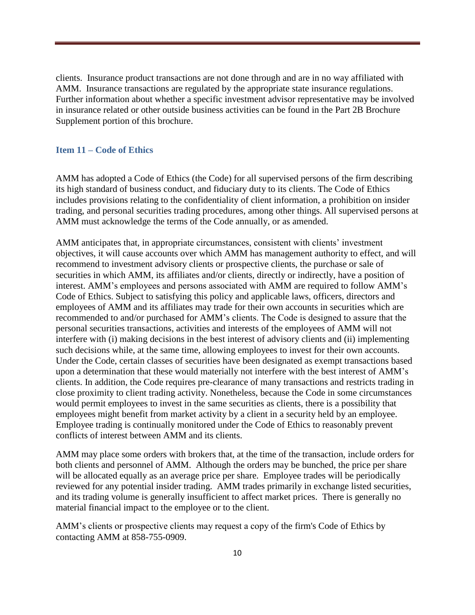clients. Insurance product transactions are not done through and are in no way affiliated with AMM. Insurance transactions are regulated by the appropriate state insurance regulations. Further information about whether a specific investment advisor representative may be involved in insurance related or other outside business activities can be found in the Part 2B Brochure Supplement portion of this brochure.

### <span id="page-12-0"></span>**Item 11 – Code of Ethics**

AMM has adopted a Code of Ethics (the Code) for all supervised persons of the firm describing its high standard of business conduct, and fiduciary duty to its clients. The Code of Ethics includes provisions relating to the confidentiality of client information, a prohibition on insider trading, and personal securities trading procedures, among other things. All supervised persons at AMM must acknowledge the terms of the Code annually, or as amended.

AMM anticipates that, in appropriate circumstances, consistent with clients' investment objectives, it will cause accounts over which AMM has management authority to effect, and will recommend to investment advisory clients or prospective clients, the purchase or sale of securities in which AMM, its affiliates and/or clients, directly or indirectly, have a position of interest. AMM's employees and persons associated with AMM are required to follow AMM's Code of Ethics. Subject to satisfying this policy and applicable laws, officers, directors and employees of AMM and its affiliates may trade for their own accounts in securities which are recommended to and/or purchased for AMM's clients. The Code is designed to assure that the personal securities transactions, activities and interests of the employees of AMM will not interfere with (i) making decisions in the best interest of advisory clients and (ii) implementing such decisions while, at the same time, allowing employees to invest for their own accounts. Under the Code, certain classes of securities have been designated as exempt transactions based upon a determination that these would materially not interfere with the best interest of AMM's clients. In addition, the Code requires pre-clearance of many transactions and restricts trading in close proximity to client trading activity. Nonetheless, because the Code in some circumstances would permit employees to invest in the same securities as clients, there is a possibility that employees might benefit from market activity by a client in a security held by an employee. Employee trading is continually monitored under the Code of Ethics to reasonably prevent conflicts of interest between AMM and its clients.

AMM may place some orders with brokers that, at the time of the transaction, include orders for both clients and personnel of AMM. Although the orders may be bunched, the price per share will be allocated equally as an average price per share. Employee trades will be periodically reviewed for any potential insider trading. AMM trades primarily in exchange listed securities, and its trading volume is generally insufficient to affect market prices. There is generally no material financial impact to the employee or to the client.

AMM's clients or prospective clients may request a copy of the firm's Code of Ethics by contacting AMM at 858-755-0909.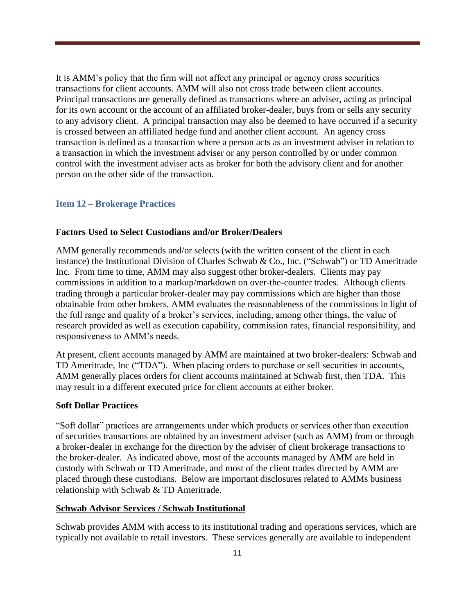It is AMM's policy that the firm will not affect any principal or agency cross securities transactions for client accounts. AMM will also not cross trade between client accounts. Principal transactions are generally defined as transactions where an adviser, acting as principal for its own account or the account of an affiliated broker-dealer, buys from or sells any security to any advisory client. A principal transaction may also be deemed to have occurred if a security is crossed between an affiliated hedge fund and another client account. An agency cross transaction is defined as a transaction where a person acts as an investment adviser in relation to a transaction in which the investment adviser or any person controlled by or under common control with the investment adviser acts as broker for both the advisory client and for another person on the other side of the transaction.

### <span id="page-13-0"></span>**Item 12 – Brokerage Practices**

### **Factors Used to Select Custodians and/or Broker/Dealers**

AMM generally recommends and/or selects (with the written consent of the client in each instance) the Institutional Division of Charles Schwab & Co., Inc. ("Schwab") or TD Ameritrade Inc. From time to time, AMM may also suggest other broker-dealers. Clients may pay commissions in addition to a markup/markdown on over-the-counter trades. Although clients trading through a particular broker-dealer may pay commissions which are higher than those obtainable from other brokers, AMM evaluates the reasonableness of the commissions in light of the full range and quality of a broker's services, including, among other things, the value of research provided as well as execution capability, commission rates, financial responsibility, and responsiveness to AMM's needs.

At present, client accounts managed by AMM are maintained at two broker-dealers: Schwab and TD Ameritrade, Inc ("TDA"). When placing orders to purchase or sell securities in accounts, AMM generally places orders for client accounts maintained at Schwab first, then TDA. This may result in a different executed price for client accounts at either broker.

### **Soft Dollar Practices**

"Soft dollar" practices are arrangements under which products or services other than execution of securities transactions are obtained by an investment adviser (such as AMM) from or through a broker-dealer in exchange for the direction by the adviser of client brokerage transactions to the broker-dealer. As indicated above, most of the accounts managed by AMM are held in custody with Schwab or TD Ameritrade, and most of the client trades directed by AMM are placed through these custodians. Below are important disclosures related to AMMs business relationship with Schwab & TD Ameritrade.

### **Schwab Advisor Services / Schwab Institutional**

Schwab provides AMM with access to its institutional trading and operations services, which are typically not available to retail investors. These services generally are available to independent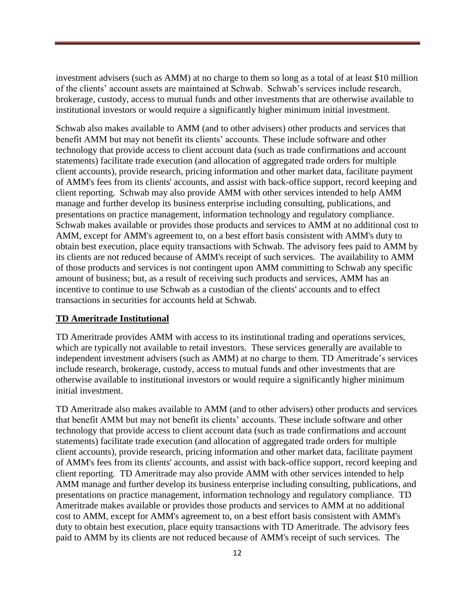investment advisers (such as AMM) at no charge to them so long as a total of at least \$10 million of the clients' account assets are maintained at Schwab. Schwab's services include research, brokerage, custody, access to mutual funds and other investments that are otherwise available to institutional investors or would require a significantly higher minimum initial investment.

Schwab also makes available to AMM (and to other advisers) other products and services that benefit AMM but may not benefit its clients' accounts. These include software and other technology that provide access to client account data (such as trade confirmations and account statements) facilitate trade execution (and allocation of aggregated trade orders for multiple client accounts), provide research, pricing information and other market data, facilitate payment of AMM's fees from its clients' accounts, and assist with back-office support, record keeping and client reporting. Schwab may also provide AMM with other services intended to help AMM manage and further develop its business enterprise including consulting, publications, and presentations on practice management, information technology and regulatory compliance. Schwab makes available or provides those products and services to AMM at no additional cost to AMM, except for AMM's agreement to, on a best effort basis consistent with AMM's duty to obtain best execution, place equity transactions with Schwab. The advisory fees paid to AMM by its clients are not reduced because of AMM's receipt of such services. The availability to AMM of those products and services is not contingent upon AMM committing to Schwab any specific amount of business; but, as a result of receiving such products and services, AMM has an incentive to continue to use Schwab as a custodian of the clients' accounts and to effect transactions in securities for accounts held at Schwab.

### **TD Ameritrade Institutional**

TD Ameritrade provides AMM with access to its institutional trading and operations services, which are typically not available to retail investors. These services generally are available to independent investment advisers (such as AMM) at no charge to them. TD Ameritrade's services include research, brokerage, custody, access to mutual funds and other investments that are otherwise available to institutional investors or would require a significantly higher minimum initial investment.

TD Ameritrade also makes available to AMM (and to other advisers) other products and services that benefit AMM but may not benefit its clients' accounts. These include software and other technology that provide access to client account data (such as trade confirmations and account statements) facilitate trade execution (and allocation of aggregated trade orders for multiple client accounts), provide research, pricing information and other market data, facilitate payment of AMM's fees from its clients' accounts, and assist with back-office support, record keeping and client reporting. TD Ameritrade may also provide AMM with other services intended to help AMM manage and further develop its business enterprise including consulting, publications, and presentations on practice management, information technology and regulatory compliance. TD Ameritrade makes available or provides those products and services to AMM at no additional cost to AMM, except for AMM's agreement to, on a best effort basis consistent with AMM's duty to obtain best execution, place equity transactions with TD Ameritrade. The advisory fees paid to AMM by its clients are not reduced because of AMM's receipt of such services. The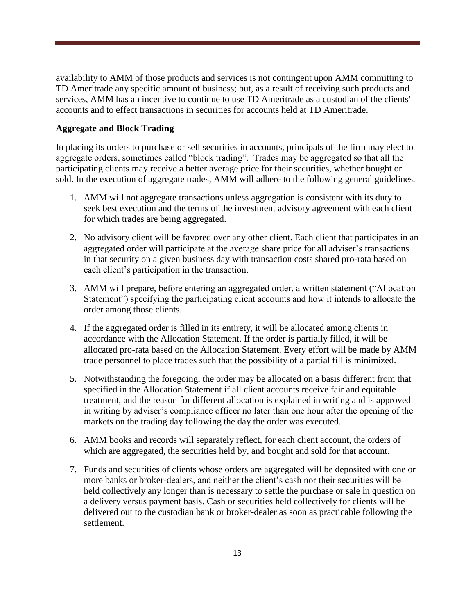availability to AMM of those products and services is not contingent upon AMM committing to TD Ameritrade any specific amount of business; but, as a result of receiving such products and services, AMM has an incentive to continue to use TD Ameritrade as a custodian of the clients' accounts and to effect transactions in securities for accounts held at TD Ameritrade.

### **Aggregate and Block Trading**

In placing its orders to purchase or sell securities in accounts, principals of the firm may elect to aggregate orders, sometimes called "block trading". Trades may be aggregated so that all the participating clients may receive a better average price for their securities, whether bought or sold. In the execution of aggregate trades, AMM will adhere to the following general guidelines.

- 1. AMM will not aggregate transactions unless aggregation is consistent with its duty to seek best execution and the terms of the investment advisory agreement with each client for which trades are being aggregated.
- 2. No advisory client will be favored over any other client. Each client that participates in an aggregated order will participate at the average share price for all adviser's transactions in that security on a given business day with transaction costs shared pro-rata based on each client's participation in the transaction.
- 3. AMM will prepare, before entering an aggregated order, a written statement ("Allocation Statement") specifying the participating client accounts and how it intends to allocate the order among those clients.
- 4. If the aggregated order is filled in its entirety, it will be allocated among clients in accordance with the Allocation Statement. If the order is partially filled, it will be allocated pro-rata based on the Allocation Statement. Every effort will be made by AMM trade personnel to place trades such that the possibility of a partial fill is minimized.
- 5. Notwithstanding the foregoing, the order may be allocated on a basis different from that specified in the Allocation Statement if all client accounts receive fair and equitable treatment, and the reason for different allocation is explained in writing and is approved in writing by adviser's compliance officer no later than one hour after the opening of the markets on the trading day following the day the order was executed.
- 6. AMM books and records will separately reflect, for each client account, the orders of which are aggregated, the securities held by, and bought and sold for that account.
- 7. Funds and securities of clients whose orders are aggregated will be deposited with one or more banks or broker-dealers, and neither the client's cash nor their securities will be held collectively any longer than is necessary to settle the purchase or sale in question on a delivery versus payment basis. Cash or securities held collectively for clients will be delivered out to the custodian bank or broker-dealer as soon as practicable following the settlement.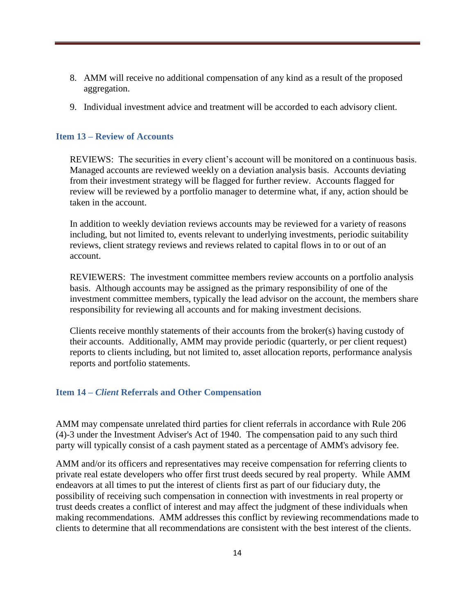- 8. AMM will receive no additional compensation of any kind as a result of the proposed aggregation.
- 9. Individual investment advice and treatment will be accorded to each advisory client.

### <span id="page-16-0"></span>**Item 13 – Review of Accounts**

REVIEWS: The securities in every client's account will be monitored on a continuous basis. Managed accounts are reviewed weekly on a deviation analysis basis. Accounts deviating from their investment strategy will be flagged for further review. Accounts flagged for review will be reviewed by a portfolio manager to determine what, if any, action should be taken in the account.

In addition to weekly deviation reviews accounts may be reviewed for a variety of reasons including, but not limited to, events relevant to underlying investments, periodic suitability reviews, client strategy reviews and reviews related to capital flows in to or out of an account.

REVIEWERS: The investment committee members review accounts on a portfolio analysis basis. Although accounts may be assigned as the primary responsibility of one of the investment committee members, typically the lead advisor on the account, the members share responsibility for reviewing all accounts and for making investment decisions.

Clients receive monthly statements of their accounts from the broker(s) having custody of their accounts. Additionally, AMM may provide periodic (quarterly, or per client request) reports to clients including, but not limited to, asset allocation reports, performance analysis reports and portfolio statements.

### <span id="page-16-1"></span>**Item 14 –** *Client* **Referrals and Other Compensation**

AMM may compensate unrelated third parties for client referrals in accordance with Rule 206 (4)-3 under the Investment Adviser's Act of 1940. The compensation paid to any such third party will typically consist of a cash payment stated as a percentage of AMM's advisory fee.

AMM and/or its officers and representatives may receive compensation for referring clients to private real estate developers who offer first trust deeds secured by real property. While AMM endeavors at all times to put the interest of clients first as part of our fiduciary duty, the possibility of receiving such compensation in connection with investments in real property or trust deeds creates a conflict of interest and may affect the judgment of these individuals when making recommendations. AMM addresses this conflict by reviewing recommendations made to clients to determine that all recommendations are consistent with the best interest of the clients.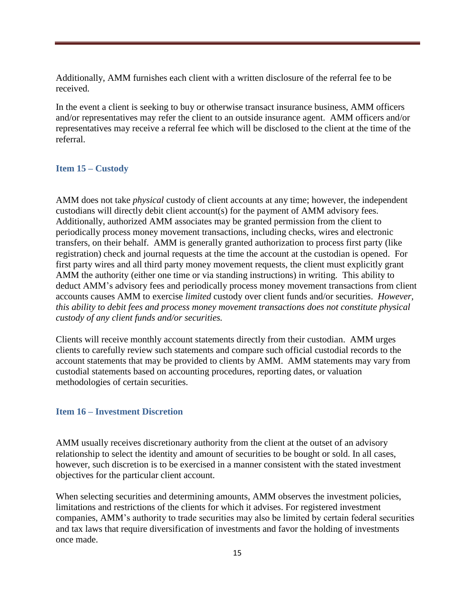Additionally, AMM furnishes each client with a written disclosure of the referral fee to be received.

In the event a client is seeking to buy or otherwise transact insurance business, AMM officers and/or representatives may refer the client to an outside insurance agent. AMM officers and/or representatives may receive a referral fee which will be disclosed to the client at the time of the referral.

### <span id="page-17-0"></span>**Item 15 – Custody**

AMM does not take *physical* custody of client accounts at any time; however, the independent custodians will directly debit client account(s) for the payment of AMM advisory fees. Additionally, authorized AMM associates may be granted permission from the client to periodically process money movement transactions, including checks, wires and electronic transfers, on their behalf. AMM is generally granted authorization to process first party (like registration) check and journal requests at the time the account at the custodian is opened. For first party wires and all third party money movement requests, the client must explicitly grant AMM the authority (either one time or via standing instructions) in writing. This ability to deduct AMM's advisory fees and periodically process money movement transactions from client accounts causes AMM to exercise *limited* custody over client funds and/or securities. *However, this ability to debit fees and process money movement transactions does not constitute physical custody of any client funds and/or securities.*

Clients will receive monthly account statements directly from their custodian. AMM urges clients to carefully review such statements and compare such official custodial records to the account statements that may be provided to clients by AMM. AMM statements may vary from custodial statements based on accounting procedures, reporting dates, or valuation methodologies of certain securities.

### <span id="page-17-1"></span>**Item 16 – Investment Discretion**

AMM usually receives discretionary authority from the client at the outset of an advisory relationship to select the identity and amount of securities to be bought or sold. In all cases, however, such discretion is to be exercised in a manner consistent with the stated investment objectives for the particular client account.

When selecting securities and determining amounts, AMM observes the investment policies, limitations and restrictions of the clients for which it advises. For registered investment companies, AMM's authority to trade securities may also be limited by certain federal securities and tax laws that require diversification of investments and favor the holding of investments once made.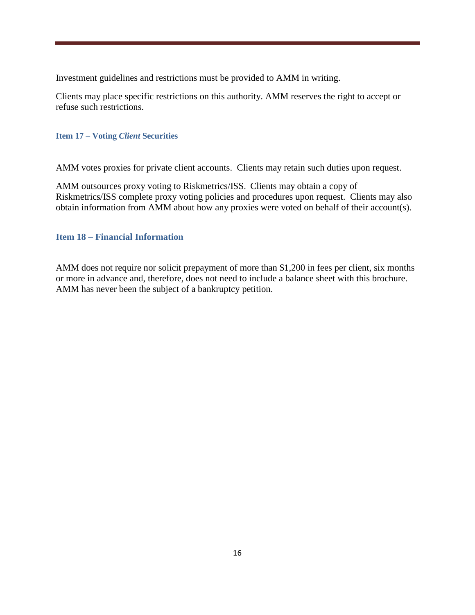Investment guidelines and restrictions must be provided to AMM in writing.

<span id="page-18-0"></span>Clients may place specific restrictions on this authority. AMM reserves the right to accept or refuse such restrictions.

### **Item 17 – Voting** *Client* **Securities**

AMM votes proxies for private client accounts. Clients may retain such duties upon request.

AMM outsources proxy voting to Riskmetrics/ISS. Clients may obtain a copy of Riskmetrics/ISS complete proxy voting policies and procedures upon request. Clients may also obtain information from AMM about how any proxies were voted on behalf of their account(s).

### <span id="page-18-1"></span>**Item 18 – Financial Information**

AMM does not require nor solicit prepayment of more than \$1,200 in fees per client, six months or more in advance and, therefore, does not need to include a balance sheet with this brochure. AMM has never been the subject of a bankruptcy petition.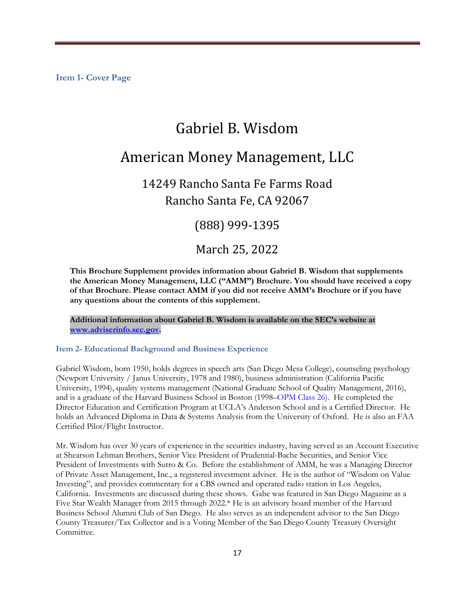# Gabriel B. Wisdom

# American Money Management, LLC

14249 Rancho Santa Fe Farms Road Rancho Santa Fe, CA 92067

### (888) 999-1395

### March 25, 2022

**This Brochure Supplement provides information about Gabriel B. Wisdom that supplements the American Money Management, LLC ("AMM") Brochure. You should have received a copy of that Brochure. Please contact AMM if you did not receive AMM's Brochure or if you have any questions about the contents of this supplement.** 

**Additional information about Gabriel B. Wisdom is available on the SEC's website at [www.adviserinfo.sec.gov.](http://www.adviserinfo.sec.gov/)**

### **Item 2- Educational Background and Business Experience**

Gabriel Wisdom, born 1950, holds degrees in speech arts (San Diego Mesa College), counseling psychology (Newport University / Janus University, 1978 and 1980), business administration (California Pacific University, 1994), quality systems management (National Graduate School of Quality Management, 2016), and is a graduate of the Harvard Business School in Boston (1998–OPM Class 26). He completed the Director Education and Certification Program at UCLA's Anderson School and is a Certified Director. He holds an Advanced Diploma in Data & Systems Analysis from the University of Oxford. He is also an FAA Certified Pilot/Flight Instructor.

Mr. Wisdom has over 30 years of experience in the securities industry, having served as an Account Executive at Shearson Lehman Brothers, Senior Vice President of Prudential-Bache Securities, and Senior Vice President of Investments with Sutro & Co. Before the establishment of AMM, he was a Managing Director of Private Asset Management, Inc., a registered investment adviser. He is the author of "Wisdom on Value Investing", and provides commentary for a CBS owned and operated radio station in Los Angeles, California. Investments are discussed during these shows. Gabe was featured in San Diego Magazine as a Five Star Wealth Manager from 2015 through 2022.\* He is an advisory board member of the Harvard Business School Alumni Club of San Diego. He also serves as an independent advisor to the San Diego County Treasurer/Tax Collector and is a Voting Member of the San Diego County Treasury Oversight Committee.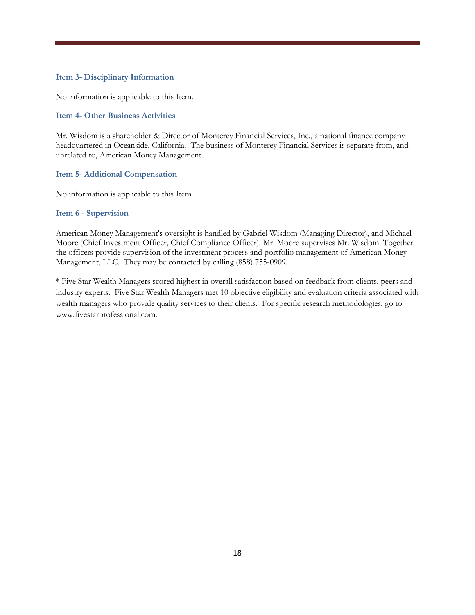### **Item 3- Disciplinary Information**

No information is applicable to this Item.

### **Item 4- Other Business Activities**

Mr. Wisdom is a shareholder & Director of Monterey Financial Services, Inc., a national finance company headquartered in Oceanside, California. The business of Monterey Financial Services is separate from, and unrelated to, American Money Management.

### **Item 5- Additional Compensation**

No information is applicable to this Item

### **Item 6 - Supervision**

American Money Management's oversight is handled by Gabriel Wisdom (Managing Director), and Michael Moore (Chief Investment Officer, Chief Compliance Officer). Mr. Moore supervises Mr. Wisdom. Together the officers provide supervision of the investment process and portfolio management of American Money Management, LLC. They may be contacted by calling (858) 755-0909.

\* Five Star Wealth Managers scored highest in overall satisfaction based on feedback from clients, peers and industry experts. Five Star Wealth Managers met 10 objective eligibility and evaluation criteria associated with wealth managers who provide quality services to their clients. For specific research methodologies, go to www.fivestarprofessional.com.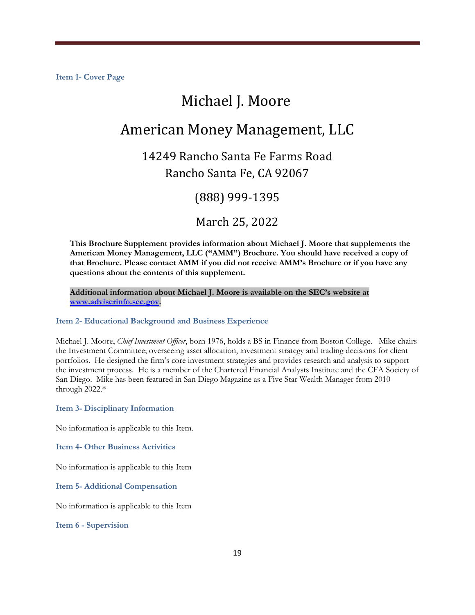# Michael J. Moore

# American Money Management, LLC

# 14249 Rancho Santa Fe Farms Road Rancho Santa Fe, CA 92067

### (888) 999-1395

### March 25, 2022

**This Brochure Supplement provides information about Michael J. Moore that supplements the American Money Management, LLC ("AMM") Brochure. You should have received a copy of that Brochure. Please contact AMM if you did not receive AMM's Brochure or if you have any questions about the contents of this supplement.** 

**Additional information about Michael J. Moore is available on the SEC's website at [www.adviserinfo.sec.gov.](http://www.adviserinfo.sec.gov/)**

### **Item 2- Educational Background and Business Experience**

Michael J. Moore, *Chief Investment Officer*, born 1976, holds a BS in Finance from Boston College. Mike chairs the Investment Committee; overseeing asset allocation, investment strategy and trading decisions for client portfolios. He designed the firm's core investment strategies and provides research and analysis to support the investment process. He is a member of the Chartered Financial Analysts Institute and the CFA Society of San Diego. Mike has been featured in San Diego Magazine as a Five Star Wealth Manager from 2010 through 2022.\*

### **Item 3- Disciplinary Information**

No information is applicable to this Item.

**Item 4- Other Business Activities** 

No information is applicable to this Item

### **Item 5- Additional Compensation**

No information is applicable to this Item

**Item 6 - Supervision**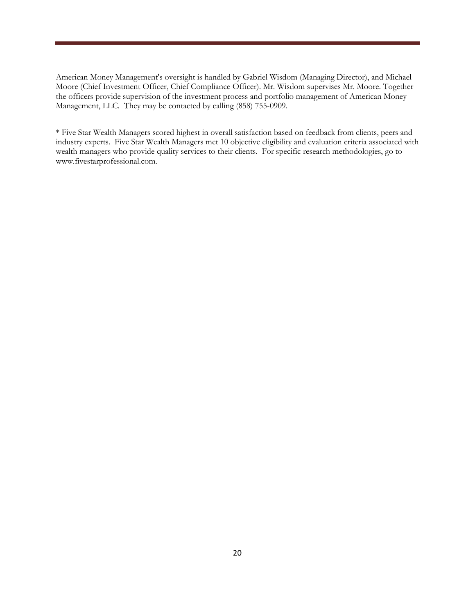American Money Management's oversight is handled by Gabriel Wisdom (Managing Director), and Michael Moore (Chief Investment Officer, Chief Compliance Officer). Mr. Wisdom supervises Mr. Moore. Together the officers provide supervision of the investment process and portfolio management of American Money Management, LLC. They may be contacted by calling (858) 755-0909.

\* Five Star Wealth Managers scored highest in overall satisfaction based on feedback from clients, peers and industry experts. Five Star Wealth Managers met 10 objective eligibility and evaluation criteria associated with wealth managers who provide quality services to their clients. For specific research methodologies, go to www.fivestarprofessional.com.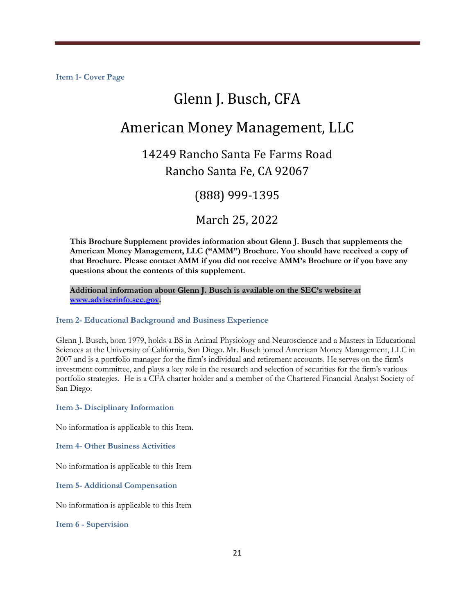# Glenn J. Busch, CFA

# American Money Management, LLC

# 14249 Rancho Santa Fe Farms Road Rancho Santa Fe, CA 92067

### (888) 999-1395

### March 25, 2022

**This Brochure Supplement provides information about Glenn J. Busch that supplements the American Money Management, LLC ("AMM") Brochure. You should have received a copy of that Brochure. Please contact AMM if you did not receive AMM's Brochure or if you have any questions about the contents of this supplement.** 

**Additional information about Glenn J. Busch is available on the SEC's website at [www.adviserinfo.sec.gov.](http://www.adviserinfo.sec.gov/)**

### **Item 2- Educational Background and Business Experience**

Glenn J. Busch, born 1979, holds a BS in Animal Physiology and Neuroscience and a Masters in Educational Sciences at the University of California, San Diego. Mr. Busch joined American Money Management, LLC in 2007 and is a portfolio manager for the firm's individual and retirement accounts. He serves on the firm's investment committee, and plays a key role in the research and selection of securities for the firm's various portfolio strategies. He is a CFA charter holder and a member of the Chartered Financial Analyst Society of San Diego.

### **Item 3- Disciplinary Information**

No information is applicable to this Item.

**Item 4- Other Business Activities** 

No information is applicable to this Item

**Item 5- Additional Compensation** 

No information is applicable to this Item

**Item 6 - Supervision**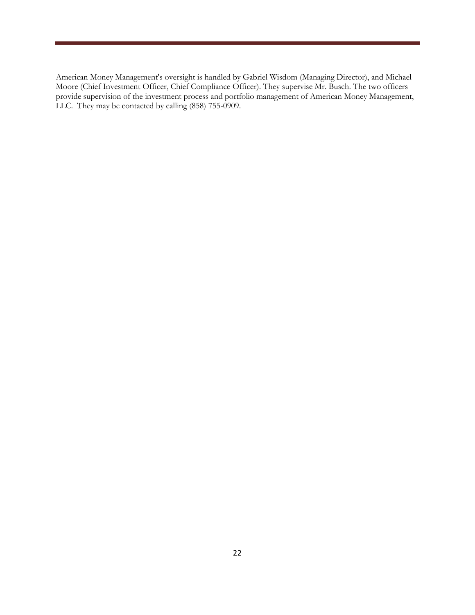American Money Management's oversight is handled by Gabriel Wisdom (Managing Director), and Michael Moore (Chief Investment Officer, Chief Compliance Officer). They supervise Mr. Busch. The two officers provide supervision of the investment process and portfolio management of American Money Management, LLC. They may be contacted by calling  $(858)$  755-0909.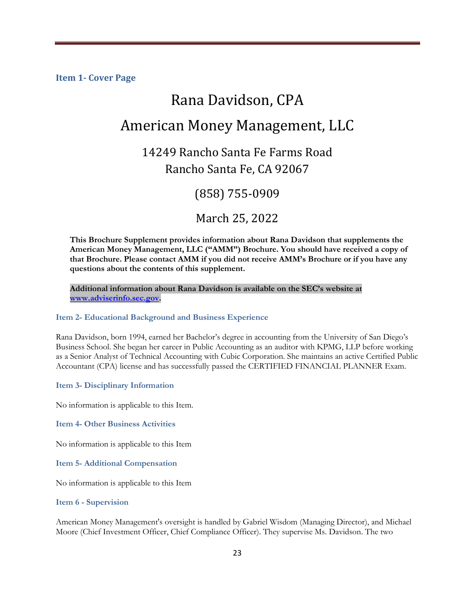# Rana Davidson, CPA American Money Management, LLC

# 14249 Rancho Santa Fe Farms Road

Rancho Santa Fe, CA 92067

## (858) 755-0909

March 25, 2022

**This Brochure Supplement provides information about Rana Davidson that supplements the American Money Management, LLC ("AMM") Brochure. You should have received a copy of that Brochure. Please contact AMM if you did not receive AMM's Brochure or if you have any questions about the contents of this supplement.** 

**Additional information about Rana Davidson is available on the SEC's website at [www.adviserinfo.sec.gov.](http://www.adviserinfo.sec.gov/)**

### **Item 2- Educational Background and Business Experience**

Rana Davidson, born 1994, earned her Bachelor's degree in accounting from the University of San Diego's Business School. She began her career in Public Accounting as an auditor with KPMG, LLP before working as a Senior Analyst of Technical Accounting with Cubic Corporation. She maintains an active Certified Public Accountant (CPA) license and has successfully passed the CERTIFIED FINANCIAL PLANNER Exam.

**Item 3- Disciplinary Information** 

No information is applicable to this Item.

**Item 4- Other Business Activities** 

No information is applicable to this Item

**Item 5- Additional Compensation** 

No information is applicable to this Item

**Item 6 - Supervision** 

American Money Management's oversight is handled by Gabriel Wisdom (Managing Director), and Michael Moore (Chief Investment Officer, Chief Compliance Officer). They supervise Ms. Davidson. The two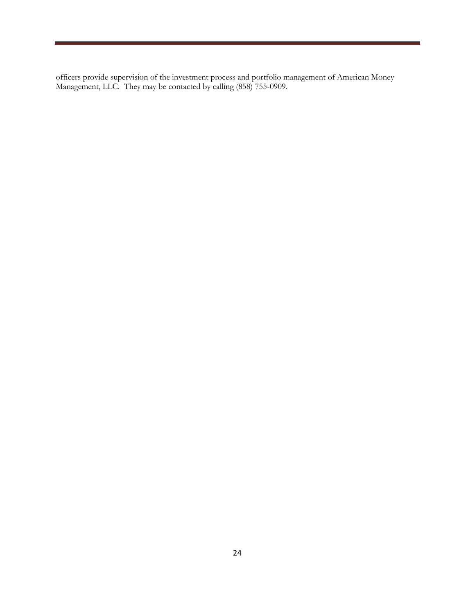officers provide supervision of the investment process and portfolio management of American Money Management, LLC. They may be contacted by calling (858) 755-0909.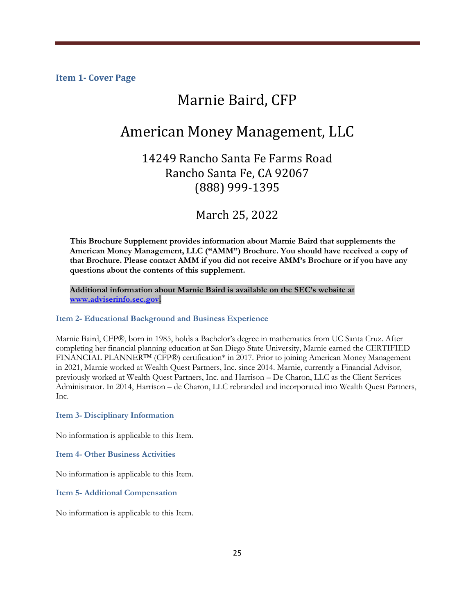# Marnie Baird, CFP

# American Money Management, LLC

### 14249 Rancho Santa Fe Farms Road Rancho Santa Fe, CA 92067 (888) 999-1395

March 25, 2022

**This Brochure Supplement provides information about Marnie Baird that supplements the American Money Management, LLC ("AMM") Brochure. You should have received a copy of that Brochure. Please contact AMM if you did not receive AMM's Brochure or if you have any questions about the contents of this supplement.** 

**Additional information about Marnie Baird is available on the SEC's website at [www.adviserinfo.sec.gov.](http://www.adviserinfo.sec.gov/)**

#### **Item 2- Educational Background and Business Experience**

Marnie Baird, CFP®, born in 1985, holds a Bachelor's degree in mathematics from UC Santa Cruz. After completing her financial planning education at San Diego State University, Marnie earned the CERTIFIED FINANCIAL PLANNER™ (CFP®) certification\* in 2017. Prior to joining American Money Management in 2021, Marnie worked at Wealth Quest Partners, Inc. since 2014. Marnie, currently a Financial Advisor, previously worked at Wealth Quest Partners, Inc. and Harrison – De Charon, LLC as the Client Services Administrator. In 2014, Harrison – de Charon, LLC rebranded and incorporated into Wealth Quest Partners, Inc.

**Item 3- Disciplinary Information** 

No information is applicable to this Item.

**Item 4- Other Business Activities** 

No information is applicable to this Item.

**Item 5- Additional Compensation** 

No information is applicable to this Item.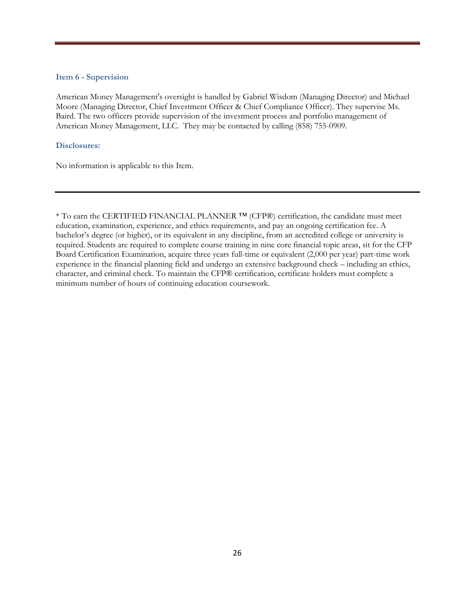#### **Item 6 - Supervision**

American Money Management's oversight is handled by Gabriel Wisdom (Managing Director) and Michael Moore (Managing Director, Chief Investment Officer & Chief Compliance Officer). They supervise Ms. Baird. The two officers provide supervision of the investment process and portfolio management of American Money Management, LLC. They may be contacted by calling (858) 755-0909.

### **Disclosures:**

No information is applicable to this Item.

\* To earn the CERTIFIED FINANCIAL PLANNER ™ (CFP®) certification, the candidate must meet education, examination, experience, and ethics requirements, and pay an ongoing certification fee. A bachelor's degree (or higher), or its equivalent in any discipline, from an accredited college or university is required. Students are required to complete course training in nine core financial topic areas, sit for the CFP Board Certification Examination, acquire three years full-time or equivalent (2,000 per year) part-time work experience in the financial planning field and undergo an extensive background check – including an ethics, character, and criminal check. To maintain the CFP® certification, certificate holders must complete a minimum number of hours of continuing education coursework.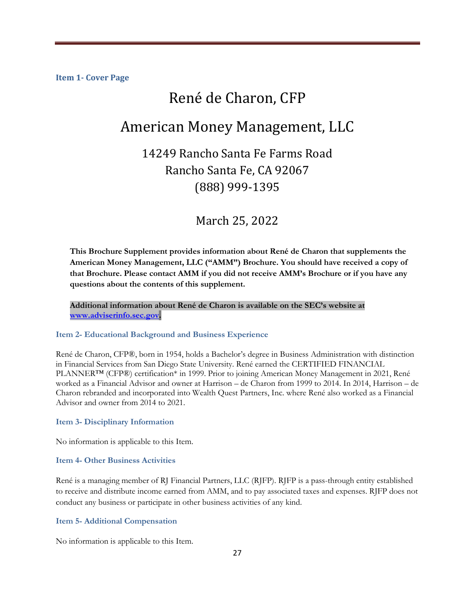# René de Charon, CFP

# American Money Management, LLC

# 14249 Rancho Santa Fe Farms Road Rancho Santa Fe, CA 92067 (888) 999-1395

### March 25, 2022

**This Brochure Supplement provides information about René de Charon that supplements the American Money Management, LLC ("AMM") Brochure. You should have received a copy of that Brochure. Please contact AMM if you did not receive AMM's Brochure or if you have any questions about the contents of this supplement.** 

**Additional information about René de Charon is available on the SEC's website at [www.adviserinfo.sec.gov.](http://www.adviserinfo.sec.gov/)**

#### **Item 2- Educational Background and Business Experience**

René de Charon, CFP®, born in 1954, holds a Bachelor's degree in Business Administration with distinction in Financial Services from San Diego State University. René earned the CERTIFIED FINANCIAL PLANNER<sup>™</sup> (CFP®) certification<sup>\*</sup> in 1999. Prior to joining American Money Management in 2021, René worked as a Financial Advisor and owner at Harrison – de Charon from 1999 to 2014. In 2014, Harrison – de Charon rebranded and incorporated into Wealth Quest Partners, Inc. where René also worked as a Financial Advisor and owner from 2014 to 2021.

#### **Item 3- Disciplinary Information**

No information is applicable to this Item.

#### **Item 4- Other Business Activities**

René is a managing member of RJ Financial Partners, LLC (RJFP). RJFP is a pass-through entity established to receive and distribute income earned from AMM, and to pay associated taxes and expenses. RJFP does not conduct any business or participate in other business activities of any kind.

#### **Item 5- Additional Compensation**

No information is applicable to this Item.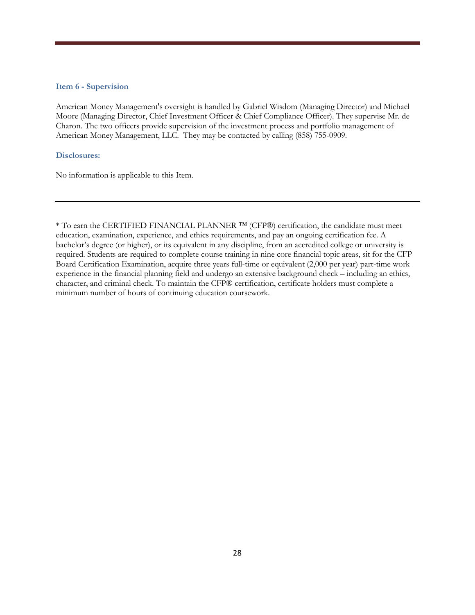#### **Item 6 - Supervision**

American Money Management's oversight is handled by Gabriel Wisdom (Managing Director) and Michael Moore (Managing Director, Chief Investment Officer & Chief Compliance Officer). They supervise Mr. de Charon. The two officers provide supervision of the investment process and portfolio management of American Money Management, LLC. They may be contacted by calling (858) 755-0909.

#### **Disclosures:**

No information is applicable to this Item.

\* To earn the CERTIFIED FINANCIAL PLANNER ™ (CFP®) certification, the candidate must meet education, examination, experience, and ethics requirements, and pay an ongoing certification fee. A bachelor's degree (or higher), or its equivalent in any discipline, from an accredited college or university is required. Students are required to complete course training in nine core financial topic areas, sit for the CFP Board Certification Examination, acquire three years full-time or equivalent (2,000 per year) part-time work experience in the financial planning field and undergo an extensive background check – including an ethics, character, and criminal check. To maintain the CFP® certification, certificate holders must complete a minimum number of hours of continuing education coursework.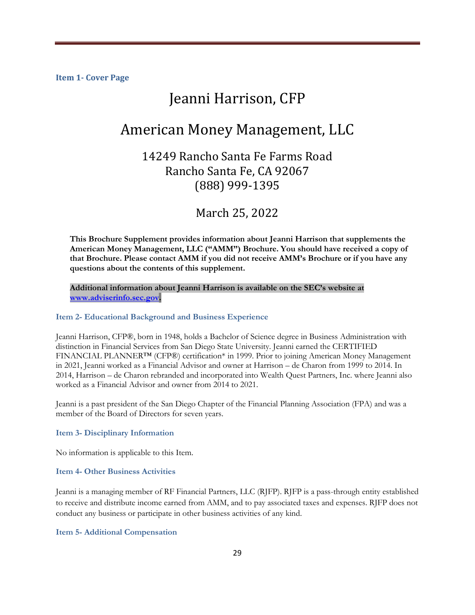# Jeanni Harrison, CFP

# American Money Management, LLC

### 14249 Rancho Santa Fe Farms Road Rancho Santa Fe, CA 92067 (888) 999-1395

March 25, 2022

**This Brochure Supplement provides information about Jeanni Harrison that supplements the American Money Management, LLC ("AMM") Brochure. You should have received a copy of that Brochure. Please contact AMM if you did not receive AMM's Brochure or if you have any questions about the contents of this supplement.** 

**Additional information about Jeanni Harrison is available on the SEC's website at [www.adviserinfo.sec.gov.](http://www.adviserinfo.sec.gov/)**

### **Item 2- Educational Background and Business Experience**

Jeanni Harrison, CFP®, born in 1948, holds a Bachelor of Science degree in Business Administration with distinction in Financial Services from San Diego State University. Jeanni earned the CERTIFIED FINANCIAL PLANNER™ (CFP®) certification\* in 1999. Prior to joining American Money Management in 2021, Jeanni worked as a Financial Advisor and owner at Harrison – de Charon from 1999 to 2014. In 2014, Harrison – de Charon rebranded and incorporated into Wealth Quest Partners, Inc. where Jeanni also worked as a Financial Advisor and owner from 2014 to 2021.

Jeanni is a past president of the San Diego Chapter of the Financial Planning Association (FPA) and was a member of the Board of Directors for seven years.

### **Item 3- Disciplinary Information**

No information is applicable to this Item.

#### **Item 4- Other Business Activities**

Jeanni is a managing member of RF Financial Partners, LLC (RJFP). RJFP is a pass-through entity established to receive and distribute income earned from AMM, and to pay associated taxes and expenses. RJFP does not conduct any business or participate in other business activities of any kind.

**Item 5- Additional Compensation**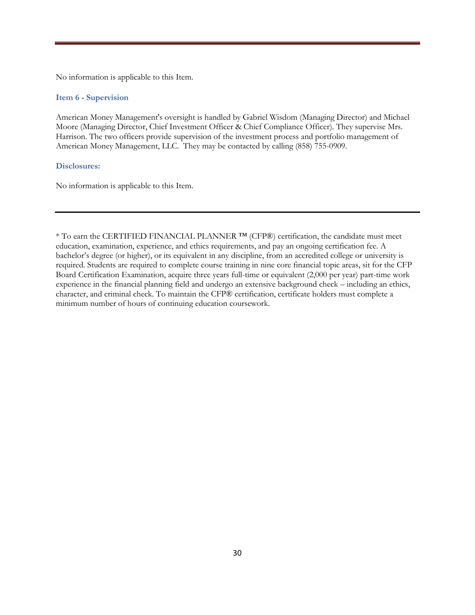No information is applicable to this Item.

#### **Item 6 - Supervision**

American Money Management's oversight is handled by Gabriel Wisdom (Managing Director) and Michael Moore (Managing Director, Chief Investment Officer & Chief Compliance Officer). They supervise Mrs. Harrison. The two officers provide supervision of the investment process and portfolio management of American Money Management, LLC. They may be contacted by calling (858) 755-0909.

#### **Disclosures:**

No information is applicable to this Item.

\* To earn the CERTIFIED FINANCIAL PLANNER ™ (CFP®) certification, the candidate must meet education, examination, experience, and ethics requirements, and pay an ongoing certification fee. A bachelor's degree (or higher), or its equivalent in any discipline, from an accredited college or university is required. Students are required to complete course training in nine core financial topic areas, sit for the CFP Board Certification Examination, acquire three years full-time or equivalent (2,000 per year) part-time work experience in the financial planning field and undergo an extensive background check – including an ethics, character, and criminal check. To maintain the CFP® certification, certificate holders must complete a minimum number of hours of continuing education coursework.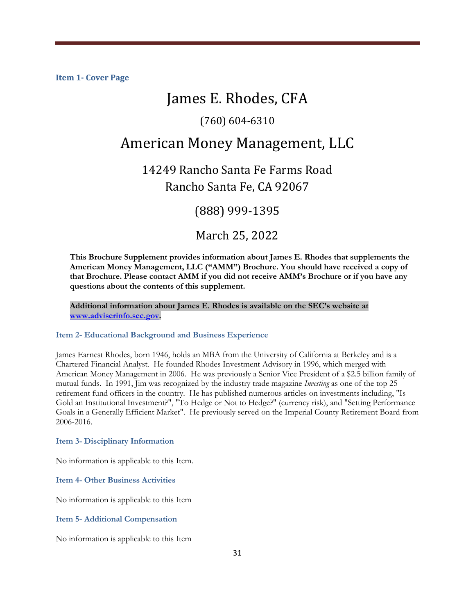# James E. Rhodes, CFA

### (760) 604-6310

## American Money Management, LLC

14249 Rancho Santa Fe Farms Road Rancho Santa Fe, CA 92067

(888) 999-1395

March 25, 2022

**This Brochure Supplement provides information about James E. Rhodes that supplements the American Money Management, LLC ("AMM") Brochure. You should have received a copy of that Brochure. Please contact AMM if you did not receive AMM's Brochure or if you have any questions about the contents of this supplement.** 

**Additional information about James E. Rhodes is available on the SEC's website at [www.adviserinfo.sec.gov.](http://www.adviserinfo.sec.gov/)**

### **Item 2- Educational Background and Business Experience**

James Earnest Rhodes, born 1946, holds an MBA from the University of California at Berkeley and is a Chartered Financial Analyst. He founded Rhodes Investment Advisory in 1996, which merged with American Money Management in 2006. He was previously a Senior Vice President of a \$2.5 billion family of mutual funds. In 1991, Jim was recognized by the industry trade magazine *Investing* as one of the top 25 retirement fund officers in the country. He has published numerous articles on investments including, "Is Gold an Institutional Investment?", "To Hedge or Not to Hedge?" (currency risk), and "Setting Performance Goals in a Generally Efficient Market". He previously served on the Imperial County Retirement Board from 2006-2016.

#### **Item 3- Disciplinary Information**

No information is applicable to this Item.

**Item 4- Other Business Activities** 

No information is applicable to this Item

**Item 5- Additional Compensation** 

No information is applicable to this Item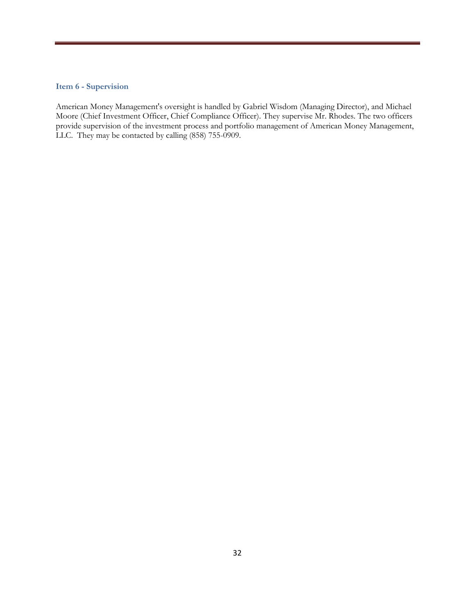#### **Item 6 - Supervision**

American Money Management's oversight is handled by Gabriel Wisdom (Managing Director), and Michael Moore (Chief Investment Officer, Chief Compliance Officer). They supervise Mr. Rhodes. The two officers provide supervision of the investment process and portfolio management of American Money Management, LLC. They may be contacted by calling (858) 755-0909.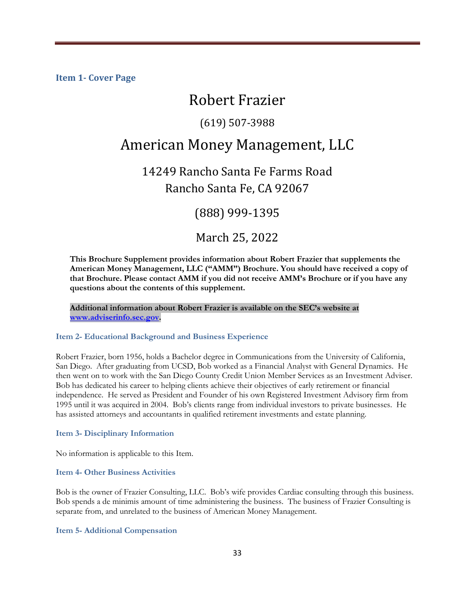# Robert Frazier

### (619) 507-3988

# American Money Management, LLC

# 14249 Rancho Santa Fe Farms Road Rancho Santa Fe, CA 92067

(888) 999-1395

### March 25, 2022

**This Brochure Supplement provides information about Robert Frazier that supplements the American Money Management, LLC ("AMM") Brochure. You should have received a copy of that Brochure. Please contact AMM if you did not receive AMM's Brochure or if you have any questions about the contents of this supplement.** 

**Additional information about Robert Frazier is available on the SEC's website at [www.adviserinfo.sec.gov.](http://www.adviserinfo.sec.gov/)**

#### **Item 2- Educational Background and Business Experience**

Robert Frazier, born 1956, holds a Bachelor degree in Communications from the University of California, San Diego. After graduating from UCSD, Bob worked as a Financial Analyst with General Dynamics. He then went on to work with the San Diego County Credit Union Member Services as an Investment Adviser. Bob has dedicated his career to helping clients achieve their objectives of early retirement or financial independence. He served as President and Founder of his own Registered Investment Advisory firm from 1995 until it was acquired in 2004. Bob's clients range from individual investors to private businesses. He has assisted attorneys and accountants in qualified retirement investments and estate planning.

### **Item 3- Disciplinary Information**

No information is applicable to this Item.

#### **Item 4- Other Business Activities**

Bob is the owner of Frazier Consulting, LLC. Bob's wife provides Cardiac consulting through this business. Bob spends a de minimis amount of time administering the business. The business of Frazier Consulting is separate from, and unrelated to the business of American Money Management.

**Item 5- Additional Compensation**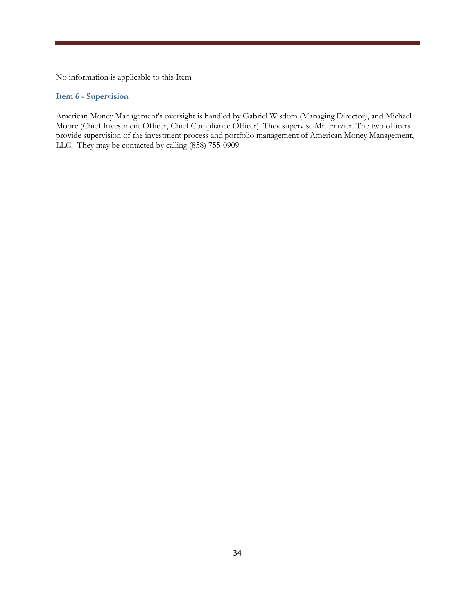No information is applicable to this Item

### **Item 6 - Supervision**

American Money Management's oversight is handled by Gabriel Wisdom (Managing Director), and Michael Moore (Chief Investment Officer, Chief Compliance Officer). They supervise Mr. Frazier. The two officers provide supervision of the investment process and portfolio management of American Money Management, LLC. They may be contacted by calling (858) 755-0909.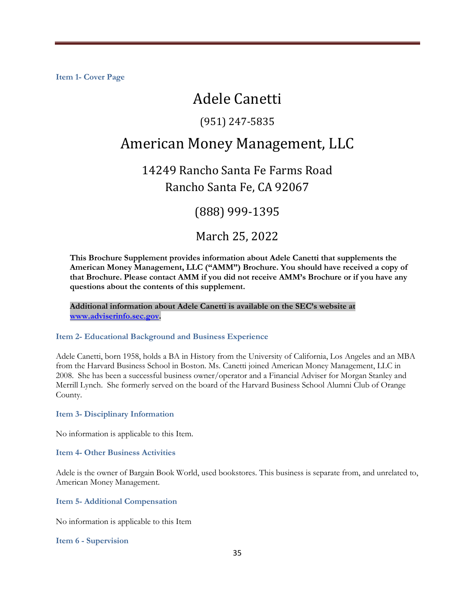# Adele Canetti

### (951) 247-5835

# American Money Management, LLC

# 14249 Rancho Santa Fe Farms Road Rancho Santa Fe, CA 92067

(888) 999-1395

### March 25, 2022

**This Brochure Supplement provides information about Adele Canetti that supplements the American Money Management, LLC ("AMM") Brochure. You should have received a copy of that Brochure. Please contact AMM if you did not receive AMM's Brochure or if you have any questions about the contents of this supplement.** 

**Additional information about Adele Canetti is available on the SEC's website at [www.adviserinfo.sec.gov.](http://www.adviserinfo.sec.gov/)**

### **Item 2- Educational Background and Business Experience**

Adele Canetti, born 1958, holds a BA in History from the University of California, Los Angeles and an MBA from the Harvard Business School in Boston. Ms. Canetti joined American Money Management, LLC in 2008. She has been a successful business owner/operator and a Financial Adviser for Morgan Stanley and Merrill Lynch. She formerly served on the board of the Harvard Business School Alumni Club of Orange County.

**Item 3- Disciplinary Information** 

No information is applicable to this Item.

**Item 4- Other Business Activities** 

Adele is the owner of Bargain Book World, used bookstores. This business is separate from, and unrelated to, American Money Management.

**Item 5- Additional Compensation** 

No information is applicable to this Item

**Item 6 - Supervision**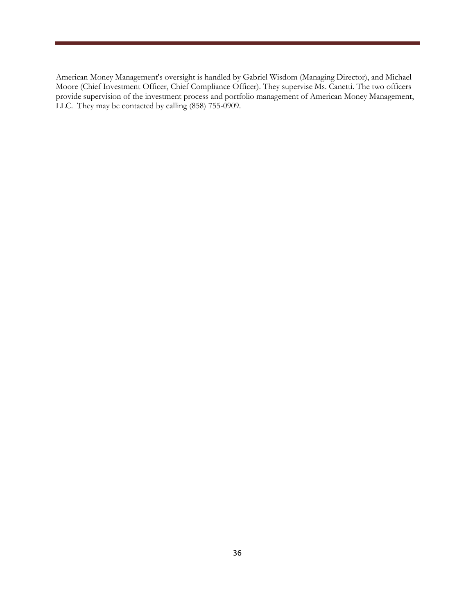American Money Management's oversight is handled by Gabriel Wisdom (Managing Director), and Michael Moore (Chief Investment Officer, Chief Compliance Officer). They supervise Ms. Canetti. The two officers provide supervision of the investment process and portfolio management of American Money Management, LLC. They may be contacted by calling  $(858)$  755-0909.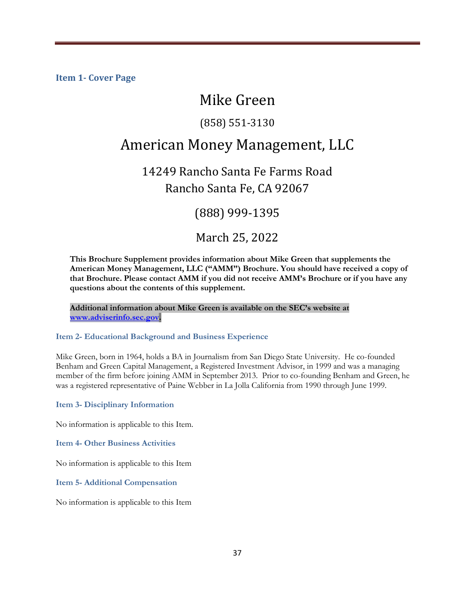# Mike Green

### (858) 551-3130

# American Money Management, LLC

14249 Rancho Santa Fe Farms Road Rancho Santa Fe, CA 92067

(888) 999-1395

March 25, 2022

**This Brochure Supplement provides information about Mike Green that supplements the American Money Management, LLC ("AMM") Brochure. You should have received a copy of that Brochure. Please contact AMM if you did not receive AMM's Brochure or if you have any questions about the contents of this supplement.** 

**Additional information about Mike Green is available on the SEC's website at [www.adviserinfo.sec.gov.](http://www.adviserinfo.sec.gov/)**

### **Item 2- Educational Background and Business Experience**

Mike Green, born in 1964, holds a BA in Journalism from San Diego State University. He co-founded Benham and Green Capital Management, a Registered Investment Advisor, in 1999 and was a managing member of the firm before joining AMM in September 2013. Prior to co-founding Benham and Green, he was a registered representative of Paine Webber in La Jolla California from 1990 through June 1999.

**Item 3- Disciplinary Information** 

No information is applicable to this Item.

**Item 4- Other Business Activities** 

No information is applicable to this Item

**Item 5- Additional Compensation** 

No information is applicable to this Item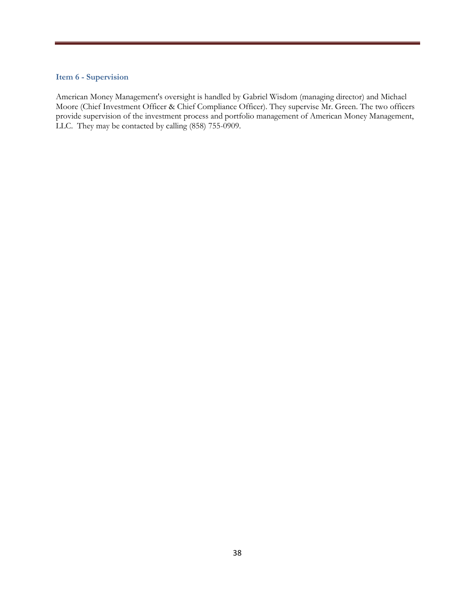### **Item 6 - Supervision**

American Money Management's oversight is handled by Gabriel Wisdom (managing director) and Michael Moore (Chief Investment Officer & Chief Compliance Officer). They supervise Mr. Green. The two officers provide supervision of the investment process and portfolio management of American Money Management, LLC. They may be contacted by calling  $(858)$  755-0909.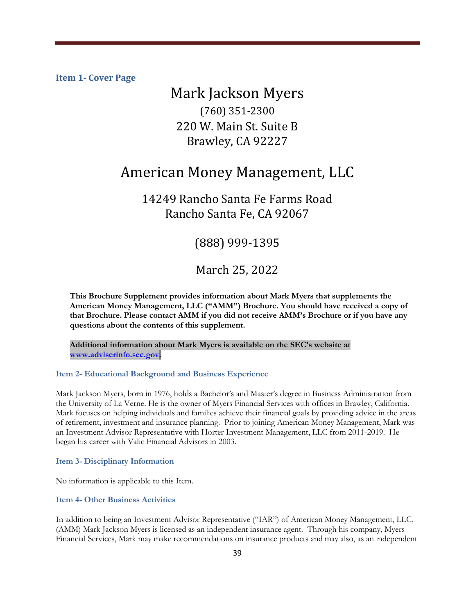# Mark Jackson Myers (760) 351-2300 220 W. Main St. Suite B Brawley, CA 92227

# American Money Management, LLC

### 14249 Rancho Santa Fe Farms Road Rancho Santa Fe, CA 92067

### (888) 999-1395

March 25, 2022

**This Brochure Supplement provides information about Mark Myers that supplements the American Money Management, LLC ("AMM") Brochure. You should have received a copy of that Brochure. Please contact AMM if you did not receive AMM's Brochure or if you have any questions about the contents of this supplement.** 

**Additional information about Mark Myers is available on the SEC's website at [www.adviserinfo.sec.gov.](http://www.adviserinfo.sec.gov/)**

### **Item 2- Educational Background and Business Experience**

Mark Jackson Myers, born in 1976, holds a Bachelor's and Master's degree in Business Administration from the University of La Verne. He is the owner of Myers Financial Services with offices in Brawley, California. Mark focuses on helping individuals and families achieve their financial goals by providing advice in the areas of retirement, investment and insurance planning. Prior to joining American Money Management, Mark was an Investment Advisor Representative with Horter Investment Management, LLC from 2011-2019. He began his career with Valic Financial Advisors in 2003.

**Item 3- Disciplinary Information** 

No information is applicable to this Item.

### **Item 4- Other Business Activities**

In addition to being an Investment Advisor Representative ("IAR") of American Money Management, LLC, (AMM) Mark Jackson Myers is licensed as an independent insurance agent. Through his company, Myers Financial Services, Mark may make recommendations on insurance products and may also, as an independent